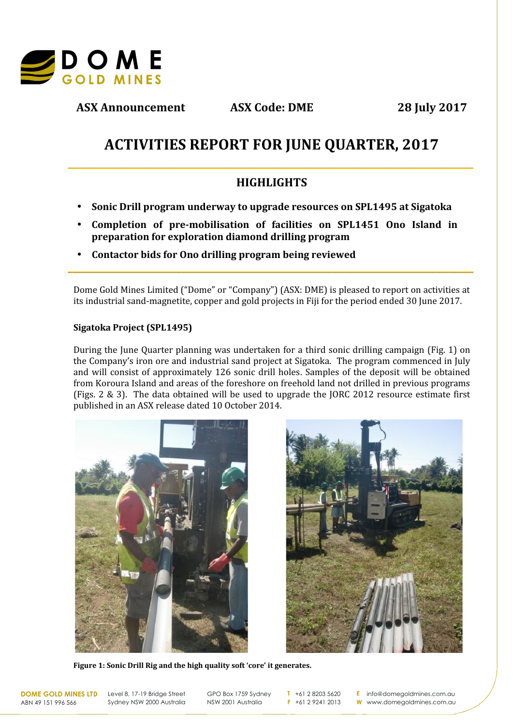

**ASX Announcement ASX Code: DME 28 July 2017**

# **ACTIVITIES REPORT FOR JUNE QUARTER, 2017**

# **HIGHLIGHTS**

**\_\_\_\_\_\_\_\_\_\_\_\_\_\_\_\_\_\_\_\_\_\_\_\_\_\_\_\_\_\_\_\_\_\_\_\_\_\_\_\_\_\_\_\_\_\_\_\_\_\_\_\_\_\_\_\_\_\_\_\_\_\_\_\_\_\_\_\_\_\_\_\_\_\_\_\_\_\_\_\_\_\_\_\_\_\_**

- **Sonic Drill program underway to upgrade resources on SPL1495 at Sigatoka**
- **Completion of pre-mobilisation of facilities on SPL1451 Ono Island in preparation for exploration diamond drilling program**
- **Contactor bids for Ono drilling program being reviewed**

Dome Gold Mines Limited ("Dome" or "Company") (ASX: DME) is pleased to report on activities at its industrial sand-magnetite, copper and gold projects in Fiji for the period ended 30 June 2017.

**\_\_\_\_\_\_\_\_\_\_\_\_\_\_\_\_\_\_\_\_\_\_\_\_\_\_\_\_\_\_\_\_\_\_\_\_\_\_\_\_\_\_\_\_\_\_\_\_\_\_\_\_\_\_\_\_\_\_\_\_\_\_\_\_\_\_\_\_\_\_\_\_\_\_\_\_\_\_\_\_\_\_\_\_\_\_**

## **Sigatoka Project (SPL1495)**

During the June Quarter planning was undertaken for a third sonic drilling campaign (Fig. 1) on the Company's iron ore and industrial sand project at Sigatoka. The program commenced in July and will consist of approximately 126 sonic drill holes. Samples of the deposit will be obtained from Koroura Island and areas of the foreshore on freehold land not drilled in previous programs (Figs. 2 & 3). The data obtained will be used to upgrade the JORC 2012 resource estimate first published in an ASX release dated 10 October 2014.





**Figure 1: Sonic Drill Rig and the high quality soft 'core' it generates.**

ABN 49 151 996 566

**DOME GOLD MINES LTD** Level 8, 17-19 Bridge Street Sydney NSW 2000 Australia

GPO Box 1759 Sydney NSW 2001 Australia

**T** +61 2 8203 5620 **F** +61 2 9241 2013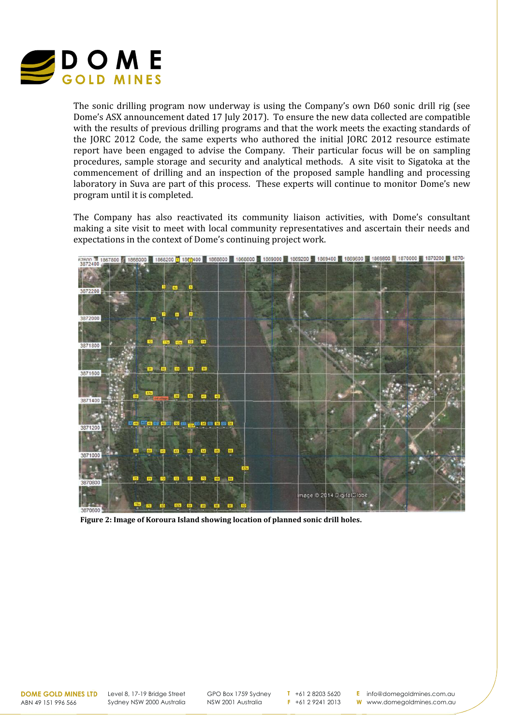

The sonic drilling program now underway is using the Company's own D60 sonic drill rig (see Dome's ASX announcement dated 17 July 2017). To ensure the new data collected are compatible with the results of previous drilling programs and that the work meets the exacting standards of the JORC 2012 Code, the same experts who authored the initial JORC 2012 resource estimate report have been engaged to advise the Company. Their particular focus will be on sampling procedures, sample storage and security and analytical methods. A site visit to Sigatoka at the commencement of drilling and an inspection of the proposed sample handling and processing laboratory in Suva are part of this process. These experts will continue to monitor Dome's new program until it is completed.

The Company has also reactivated its community liaison activities, with Dome's consultant making a site visit to meet with local community representatives and ascertain their needs and expectations in the context of Dome's continuing project work.



**Figure 2: Image of Koroura Island showing location of planned sonic drill holes.**

Level 8, 17-19 Bridge Street Sydney NSW 2000 Australia

GPO Box 1759 Sydney NSW 2001 Australia

**T** +61 2 8203 5620 **F** +61 2 9241 2013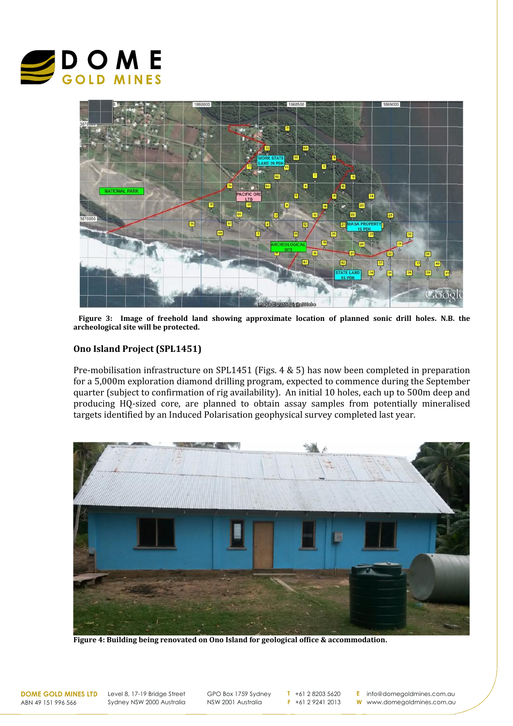



**Figure 3: Image of freehold land showing approximate location of planned sonic drill holes. N.B. the archeological site will be protected.**

## **Ono Island Project (SPL1451)**

Pre-mobilisation infrastructure on SPL1451 (Figs. 4 & 5) has now been completed in preparation for a 5,000m exploration diamond drilling program, expected to commence during the September quarter (subject to confirmation of rig availability). An initial 10 holes, each up to 500m deep and producing HQ-sized core, are planned to obtain assay samples from potentially mineralised targets identified by an Induced Polarisation geophysical survey completed last year.



**Figure 4: Building being renovated on Ono Island for geological office & accommodation.**

ABN 49 151 996 566

**DOME GOLD MINES LTD** Level 8, 17-19 Bridge Street Sydney NSW 2000 Australia

GPO Box 1759 Sydney NSW 2001 Australia

**T** +61 2 8203 5620 **F** +61 2 9241 2013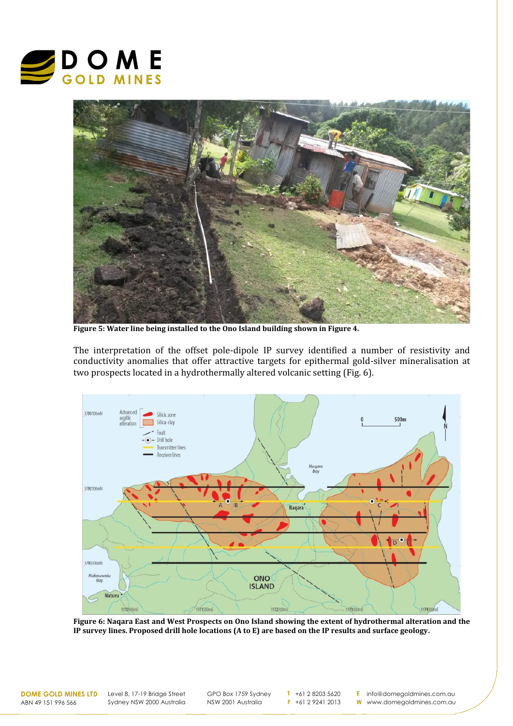



**Figure 5: Water line being installed to the Ono Island building shown in Figure 4.**

The interpretation of the offset pole-dipole IP survey identified a number of resistivity and conductivity anomalies that offer attractive targets for epithermal gold-silver mineralisation at two prospects located in a hydrothermally altered volcanic setting (Fig. 6).



**Figure 6: Naqara East and West Prospects on Ono Island showing the extent of hydrothermal alteration and the IP survey lines. Proposed drill hole locations (A to E) are based on the IP results and surface geology.**

ABN 49 151 996 566

**DOME GOLD MINES LTD** Level 8, 17-19 Bridge Street Sydney NSW 2000 Australia

GPO Box 1759 Sydney NSW 2001 Australia

**T** +61 2 8203 5620 **F** +61 2 9241 2013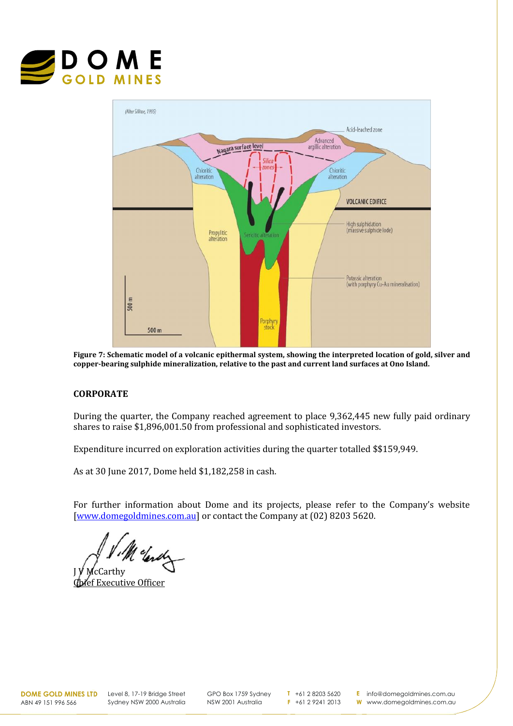



**Figure 7: Schematic model of a volcanic epithermal system, showing the interpreted location of gold, silver and copper-bearing sulphide mineralization, relative to the past and current land surfaces at Ono Island.**

# **CORPORATE**

During the quarter, the Company reached agreement to place 9,362,445 new fully paid ordinary shares to raise \$1,896,001.50 from professional and sophisticated investors.

Expenditure incurred on exploration activities during the quarter totalled \$\$159,949.

As at 30 June 2017, Dome held \$1,182,258 in cash.

For further information about Dome and its projects, please refer to the Company's website [www.domegoldmines.com.au] or contact the Company at (02) 8203 5620.

J V . M cleady

Chief Executive Officer

**DOME GOLD MINES LTD** Level 8, 17-19 Bridge Street Sydney NSW 2000 Australia

GPO Box 1759 Sydney NSW 2001 Australia